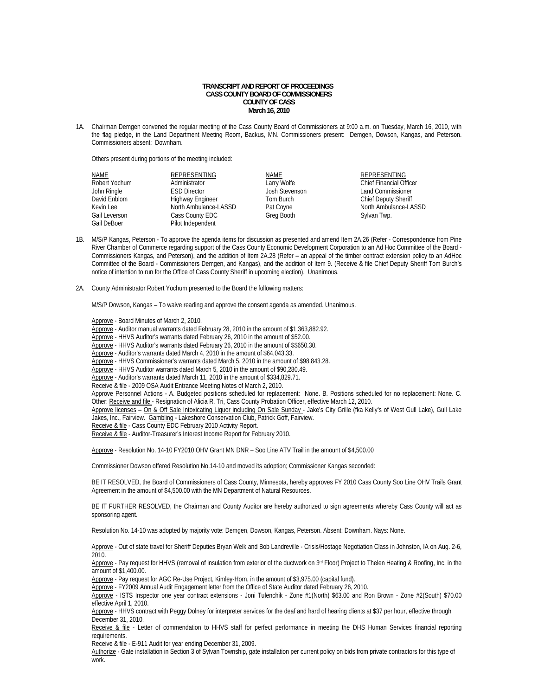## **TRANSCRIPT AND REPORT OF PROCEEDINGS CASS COUNTY BOARD OF COMMISSIONERS COUNTY OF CASS March 16, 2010**

1A. Chairman Demgen convened the regular meeting of the Cass County Board of Commissioners at 9:00 a.m. on Tuesday, March 16, 2010, with the flag pledge, in the Land Department Meeting Room, Backus, MN. Commissioners present: Demgen, Dowson, Kangas, and Peterson. Commissioners absent: Downham.

Others present during portions of the meeting included:

| <b>NAME</b>   | REPRESENTING          | NAME           | REPRESENTING                   |
|---------------|-----------------------|----------------|--------------------------------|
| Robert Yochum | Administrator         | Larry Wolfe    | <b>Chief Financial Officer</b> |
| John Ringle   | <b>ESD Director</b>   | Josh Stevenson | Land Commissioner              |
| David Enblom  | Highway Engineer      | Tom Burch      | <b>Chief Deputy Sheriff</b>    |
| Kevin Lee     | North Ambulance-LASSD | Pat Coyne      | North Ambulance-LASSD          |
| Gail Leverson | Cass County EDC       | Greg Booth     | Sylvan Twp.                    |
| Gail DeBoer   | Pilot Independent     |                |                                |

- 1B. M/S/P Kangas, Peterson To approve the agenda items for discussion as presented and amend Item 2A.26 (Refer Correspondence from Pine River Chamber of Commerce regarding support of the Cass County Economic Development Corporation to an Ad Hoc Committee of the Board - Commissioners Kangas, and Peterson), and the addition of Item 2A.28 (Refer – an appeal of the timber contract extension policy to an AdHoc Committee of the Board - Commissioners Demgen, and Kangas), and the addition of Item 9. (Receive & file Chief Deputy Sheriff Tom Burch's notice of intention to run for the Office of Cass County Sheriff in upcoming election). Unanimous.
- 2A. County Administrator Robert Yochum presented to the Board the following matters:

M/S/P Dowson, Kangas – To waive reading and approve the consent agenda as amended. Unanimous.

Approve - Board Minutes of March 2, 2010.

Approve - Auditor manual warrants dated February 28, 2010 in the amount of \$1,363,882.92.

Approve - HHVS Auditor's warrants dated February 26, 2010 in the amount of \$52.00.

Approve - HHVS Auditor's warrants dated February 26, 2010 in the amount of \$\$650.30.

Approve - Auditor's warrants dated March 4, 2010 in the amount of \$64,043.33.

Approve - HHVS Commissioner's warrants dated March 5, 2010 in the amount of \$98,843.28.

Approve - HHVS Auditor warrants dated March 5, 2010 in the amount of \$90,280.49.

Approve - Auditor's warrants dated March 11, 2010 in the amount of \$334,829.71.

Receive & file - 2009 OSA Audit Entrance Meeting Notes of March 2, 2010.

Approve Personnel Actions - A. Budgeted positions scheduled for replacement: None. B. Positions scheduled for no replacement: None. C. Other: Receive and file - Resignation of Alicia R. Tri, Cass County Probation Officer, effective March 12, 2010.

Approve licenses - On & Off Sale Intoxicating Liquor including On Sale Sunday - Jake's City Grille (fka Kelly's of West Gull Lake), Gull Lake Jakes, Inc., Fairview. Gambling - Lakeshore Conservation Club, Patrick Goff, Fairview.

Receive & file - Cass County EDC February 2010 Activity Report.

Receive & file - Auditor-Treasurer's Interest Income Report for February 2010.

Approve - Resolution No. 14-10 FY2010 OHV Grant MN DNR – Soo Line ATV Trail in the amount of \$4,500.00

Commissioner Dowson offered Resolution No.14-10 and moved its adoption; Commissioner Kangas seconded:

BE IT RESOLVED, the Board of Commissioners of Cass County, Minnesota, hereby approves FY 2010 Cass County Soo Line OHV Trails Grant Agreement in the amount of \$4,500.00 with the MN Department of Natural Resources.

BE IT FURTHER RESOLVED, the Chairman and County Auditor are hereby authorized to sign agreements whereby Cass County will act as sponsoring agent.

Resolution No. 14-10 was adopted by majority vote: Demgen, Dowson, Kangas, Peterson. Absent: Downham. Nays: None.

Approve - Out of state travel for Sheriff Deputies Bryan Welk and Bob Landreville - Crisis/Hostage Negotiation Class in Johnston, IA on Aug. 2-6, 2010.

Approve - Pay request for HHVS (removal of insulation from exterior of the ductwork on 3<sup>rd</sup> Floor) Project to Thelen Heating & Roofing, Inc. in the amount of \$1,400.00.

Approve - Pay request for AGC Re-Use Project, Kimley-Horn, in the amount of \$3,975.00 (capital fund).

Approve - FY2009 Annual Audit Engagement letter from the Office of State Auditor dated February 26, 2010.

 Approve - ISTS Inspector one year contract extensions - Joni Tulenchik - Zone #1(North) \$63.00 and Ron Brown - Zone #2(South) \$70.00 effective April 1, 2010.

Approve - HHVS contract with Peggy Dolney for interpreter services for the deaf and hard of hearing clients at \$37 per hour, effective through December 31, 2010.

Receive & file - Letter of commendation to HHVS staff for perfect performance in meeting the DHS Human Services financial reporting requirements.

Receive & file - E-911 Audit for year ending December 31, 2009.

Authorize - Gate installation in Section 3 of Sylvan Township, gate installation per current policy on bids from private contractors for this type of work.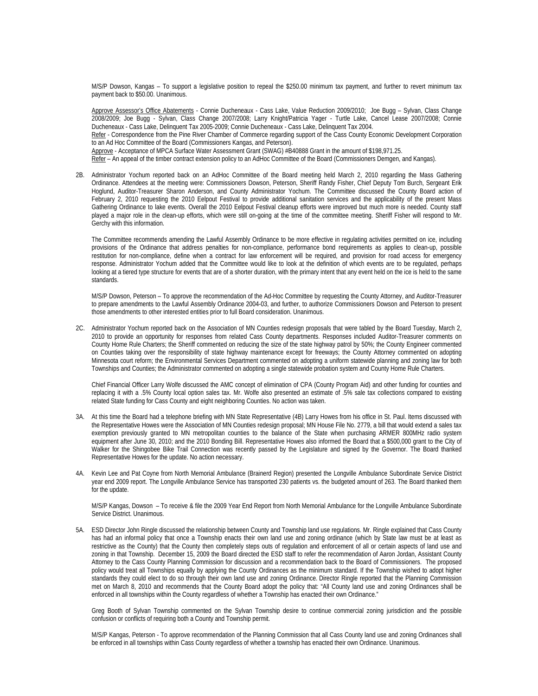M/S/P Dowson, Kangas – To support a legislative position to repeal the \$250.00 minimum tax payment, and further to revert minimum tax payment back to \$50.00. Unanimous.

Approve Assessor's Office Abatements - Connie Ducheneaux - Cass Lake, Value Reduction 2009/2010; Joe Bugg – Sylvan, Class Change 2008/2009; Joe Bugg - Sylvan, Class Change 2007/2008; Larry Knight/Patricia Yager - Turtle Lake, Cancel Lease 2007/2008; Connie Ducheneaux - Cass Lake, Delinquent Tax 2005-2009; Connie Ducheneaux - Cass Lake, Delinquent Tax 2004. Refer - Correspondence from the Pine River Chamber of Commerce regarding support of the Cass County Economic Development Corporation to an Ad Hoc Committee of the Board (Commissioners Kangas, and Peterson). Approve - Acceptance of MPCA Surface Water Assessment Grant (SWAG) #B40888 Grant in the amount of \$198,971.25. Refer – An appeal of the timber contract extension policy to an AdHoc Committee of the Board (Commissioners Demgen, and Kangas).

2B. Administrator Yochum reported back on an AdHoc Committee of the Board meeting held March 2, 2010 regarding the Mass Gathering Ordinance. Attendees at the meeting were: Commissioners Dowson, Peterson, Sheriff Randy Fisher, Chief Deputy Tom Burch, Sergeant Erik Hoglund, Auditor-Treasurer Sharon Anderson, and County Administrator Yochum. The Committee discussed the County Board action of February 2, 2010 requesting the 2010 Eelpout Festival to provide additional sanitation services and the applicability of the present Mass Gathering Ordinance to lake events. Overall the 2010 Eelpout Festival cleanup efforts were improved but much more is needed. County staff played a major role in the clean-up efforts, which were still on-going at the time of the committee meeting. Sheriff Fisher will respond to Mr. Gerchy with this information.

 The Committee recommends amending the Lawful Assembly Ordinance to be more effective in regulating activities permitted on ice, including provisions of the Ordinance that address penalties for non-compliance, performance bond requirements as applies to clean-up, possible restitution for non-compliance, define when a contract for law enforcement will be required, and provision for road access for emergency response. Administrator Yochum added that the Committee would like to look at the definition of which events are to be regulated, perhaps looking at a tiered type structure for events that are of a shorter duration, with the primary intent that any event held on the ice is held to the same standards.

M/S/P Dowson, Peterson – To approve the recommendation of the Ad-Hoc Committee by requesting the County Attorney, and Auditor-Treasurer to prepare amendments to the Lawful Assembly Ordinance 2004-03, and further, to authorize Commissioners Dowson and Peterson to present those amendments to other interested entities prior to full Board consideration. Unanimous.

2C. Administrator Yochum reported back on the Association of MN Counties redesign proposals that were tabled by the Board Tuesday, March 2, 2010 to provide an opportunity for responses from related Cass County departments. Responses included Auditor-Treasurer comments on County Home Rule Charters; the Sheriff commented on reducing the size of the state highway patrol by 50%; the County Engineer commented on Counties taking over the responsibility of state highway maintenance except for freeways; the County Attorney commented on adopting Minnesota court reform; the Environmental Services Department commented on adopting a uniform statewide planning and zoning law for both Townships and Counties; the Administrator commented on adopting a single statewide probation system and County Home Rule Charters.

Chief Financial Officer Larry Wolfe discussed the AMC concept of elimination of CPA (County Program Aid) and other funding for counties and replacing it with a .5% County local option sales tax. Mr. Wolfe also presented an estimate of .5% sale tax collections compared to existing related State funding for Cass County and eight neighboring Counties. No action was taken.

- 3A. At this time the Board had a telephone briefing with MN State Representative (4B) Larry Howes from his office in St. Paul. Items discussed with the Representative Howes were the Association of MN Counties redesign proposal; MN House File No. 2779, a bill that would extend a sales tax exemption previously granted to MN metropolitan counties to the balance of the State when purchasing ARMER 800MHz radio system equipment after June 30, 2010; and the 2010 Bonding Bill. Representative Howes also informed the Board that a \$500,000 grant to the City of Walker for the Shingobee Bike Trail Connection was recently passed by the Legislature and signed by the Governor. The Board thanked Representative Howes for the update. No action necessary.
- 4A. Kevin Lee and Pat Coyne from North Memorial Ambulance (Brainerd Region) presented the Longville Ambulance Subordinate Service District year end 2009 report. The Longville Ambulance Service has transported 230 patients vs. the budgeted amount of 263. The Board thanked them for the update.

M/S/P Kangas, Dowson – To receive & file the 2009 Year End Report from North Memorial Ambulance for the Longville Ambulance Subordinate Service District. Unanimous.

5A. ESD Director John Ringle discussed the relationship between County and Township land use regulations. Mr. Ringle explained that Cass County has had an informal policy that once a Township enacts their own land use and zoning ordinance (which by State law must be at least as restrictive as the County) that the County then completely steps outs of regulation and enforcement of all or certain aspects of land use and zoning in that Township. December 15, 2009 the Board directed the ESD staff to refer the recommendation of Aaron Jordan, Assistant County Attorney to the Cass County Planning Commission for discussion and a recommendation back to the Board of Commissioners. The proposed policy would treat all Townships equally by applying the County Ordinances as the minimum standard. If the Township wished to adopt higher standards they could elect to do so through their own land use and zoning Ordinance. Director Ringle reported that the Planning Commission met on March 8, 2010 and recommends that the County Board adopt the policy that: "All County land use and zoning Ordinances shall be enforced in all townships within the County regardless of whether a Township has enacted their own Ordinance."

Greg Booth of Sylvan Township commented on the Sylvan Township desire to continue commercial zoning jurisdiction and the possible confusion or conflicts of requiring both a County and Township permit.

M/S/P Kangas, Peterson - To approve recommendation of the Planning Commission that all Cass County land use and zoning Ordinances shall be enforced in all townships within Cass County regardless of whether a township has enacted their own Ordinance. Unanimous.